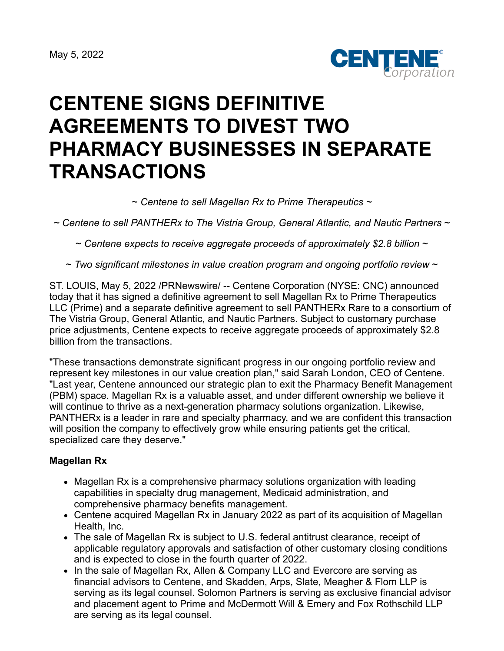

# **CENTENE SIGNS DEFINITIVE AGREEMENTS TO DIVEST TWO PHARMACY BUSINESSES IN SEPARATE TRANSACTIONS**

~ *Centene to sell Magellan Rx to Prime Therapeutics ~*

*~ Centene to sell PANTHERx to The Vistria Group, General Atlantic, and Nautic Partners* ~

~ *Centene expects to receive aggregate proceeds of approximately \$2.8 billion* ~

~ *Two significant milestones in value creation program and ongoing portfolio review* ~

ST. LOUIS, May 5, 2022 /PRNewswire/ -- Centene Corporation (NYSE: CNC) announced today that it has signed a definitive agreement to sell Magellan Rx to Prime Therapeutics LLC (Prime) and a separate definitive agreement to sell PANTHERx Rare to a consortium of The Vistria Group, General Atlantic, and Nautic Partners. Subject to customary purchase price adjustments, Centene expects to receive aggregate proceeds of approximately \$2.8 billion from the transactions.

"These transactions demonstrate significant progress in our ongoing portfolio review and represent key milestones in our value creation plan," said Sarah London, CEO of Centene. "Last year, Centene announced our strategic plan to exit the Pharmacy Benefit Management (PBM) space. Magellan Rx is a valuable asset, and under different ownership we believe it will continue to thrive as a next-generation pharmacy solutions organization. Likewise, PANTHERx is a leader in rare and specialty pharmacy, and we are confident this transaction will position the company to effectively grow while ensuring patients get the critical, specialized care they deserve."

## **Magellan Rx**

- Magellan Rx is a comprehensive pharmacy solutions organization with leading capabilities in specialty drug management, Medicaid administration, and comprehensive pharmacy benefits management.
- Centene acquired Magellan Rx in January 2022 as part of its acquisition of Magellan Health, Inc.
- The sale of Magellan Rx is subject to U.S. federal antitrust clearance, receipt of applicable regulatory approvals and satisfaction of other customary closing conditions and is expected to close in the fourth quarter of 2022.
- In the sale of Magellan Rx, Allen & Company LLC and Evercore are serving as financial advisors to Centene, and Skadden, Arps, Slate, Meagher & Flom LLP is serving as its legal counsel. Solomon Partners is serving as exclusive financial advisor and placement agent to Prime and McDermott Will & Emery and Fox Rothschild LLP are serving as its legal counsel.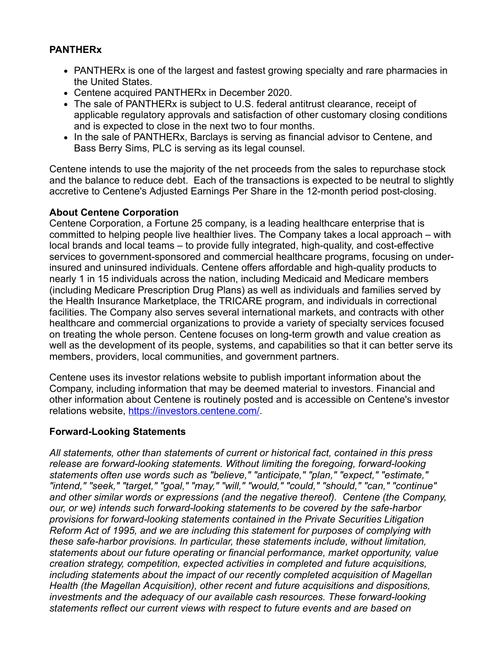## **PANTHERx**

- PANTHERx is one of the largest and fastest growing specialty and rare pharmacies in the United States.
- Centene acquired PANTHERx in December 2020.
- The sale of PANTHERx is subject to U.S. federal antitrust clearance, receipt of applicable regulatory approvals and satisfaction of other customary closing conditions and is expected to close in the next two to four months.
- In the sale of PANTHERx, Barclays is serving as financial advisor to Centene, and Bass Berry Sims, PLC is serving as its legal counsel.

Centene intends to use the majority of the net proceeds from the sales to repurchase stock and the balance to reduce debt. Each of the transactions is expected to be neutral to slightly accretive to Centene's Adjusted Earnings Per Share in the 12-month period post-closing.

#### **About Centene Corporation**

Centene Corporation, a Fortune 25 company, is a leading healthcare enterprise that is committed to helping people live healthier lives. The Company takes a local approach – with local brands and local teams – to provide fully integrated, high-quality, and cost-effective services to government-sponsored and commercial healthcare programs, focusing on underinsured and uninsured individuals. Centene offers affordable and high-quality products to nearly 1 in 15 individuals across the nation, including Medicaid and Medicare members (including Medicare Prescription Drug Plans) as well as individuals and families served by the Health Insurance Marketplace, the TRICARE program, and individuals in correctional facilities. The Company also serves several international markets, and contracts with other healthcare and commercial organizations to provide a variety of specialty services focused on treating the whole person. Centene focuses on long-term growth and value creation as well as the development of its people, systems, and capabilities so that it can better serve its members, providers, local communities, and government partners.

Centene uses its investor relations website to publish important information about the Company, including information that may be deemed material to investors. Financial and other information about Centene is routinely posted and is accessible on Centene's investor relations website, [https://investors.centene.com/.](https://investors.centene.com/)

#### **Forward-Looking Statements**

*All statements, other than statements of current or historical fact, contained in this press release are forward-looking statements. Without limiting the foregoing, forward-looking statements often use words such as "believe," "anticipate," "plan," "expect," "estimate," "intend," "seek," "target," "goal," "may," "will," "would," "could," "should," "can," "continue" and other similar words or expressions (and the negative thereof). Centene (the Company, our, or we) intends such forward-looking statements to be covered by the safe-harbor provisions for forward-looking statements contained in the Private Securities Litigation Reform Act of 1995, and we are including this statement for purposes of complying with these safe-harbor provisions. In particular, these statements include, without limitation, statements about our future operating or financial performance, market opportunity, value creation strategy, competition, expected activities in completed and future acquisitions, including statements about the impact of our recently completed acquisition of Magellan Health (the Magellan Acquisition), other recent and future acquisitions and dispositions, investments and the adequacy of our available cash resources. These forward-looking statements reflect our current views with respect to future events and are based on*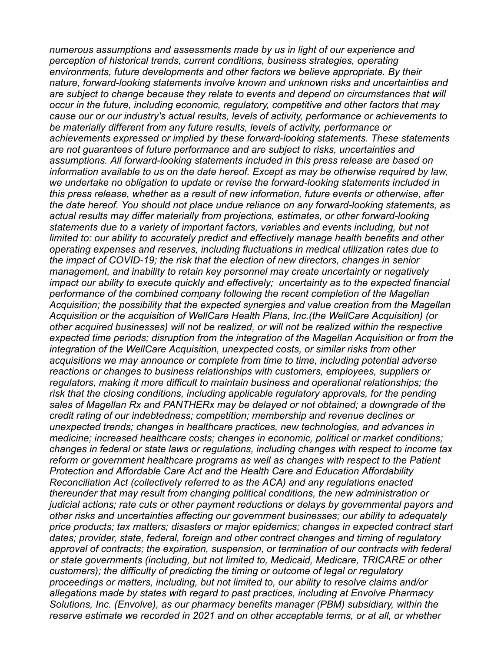*numerous assumptions and assessments made by us in light of our experience and perception of historical trends, current conditions, business strategies, operating environments, future developments and other factors we believe appropriate. By their nature, forward-looking statements involve known and unknown risks and uncertainties and are subject to change because they relate to events and depend on circumstances that will occur in the future, including economic, regulatory, competitive and other factors that may cause our or our industry's actual results, levels of activity, performance or achievements to be materially different from any future results, levels of activity, performance or achievements expressed or implied by these forward-looking statements. These statements are not guarantees of future performance and are subject to risks, uncertainties and assumptions. All forward-looking statements included in this press release are based on information available to us on the date hereof. Except as may be otherwise required by law, we undertake no obligation to update or revise the forward-looking statements included in this press release, whether as a result of new information, future events or otherwise, after the date hereof. You should not place undue reliance on any forward-looking statements, as actual results may differ materially from projections, estimates, or other forward-looking statements due to a variety of important factors, variables and events including, but not limited to: our ability to accurately predict and effectively manage health benefits and other operating expenses and reserves, including fluctuations in medical utilization rates due to the impact of COVID-19; the risk that the election of new directors, changes in senior management, and inability to retain key personnel may create uncertainty or negatively impact our ability to execute quickly and effectively; uncertainty as to the expected financial performance of the combined company following the recent completion of the Magellan Acquisition; the possibility that the expected synergies and value creation from the Magellan Acquisition or the acquisition of WellCare Health Plans, Inc.(the WellCare Acquisition) (or other acquired businesses) will not be realized, or will not be realized within the respective expected time periods; disruption from the integration of the Magellan Acquisition or from the integration of the WellCare Acquisition, unexpected costs, or similar risks from other acquisitions we may announce or complete from time to time, including potential adverse reactions or changes to business relationships with customers, employees, suppliers or regulators, making it more difficult to maintain business and operational relationships; the risk that the closing conditions, including applicable regulatory approvals, for the pending sales of Magellan Rx and PANTHERx may be delayed or not obtained; a downgrade of the credit rating of our indebtedness; competition; membership and revenue declines or unexpected trends; changes in healthcare practices, new technologies, and advances in medicine; increased healthcare costs; changes in economic, political or market conditions; changes in federal or state laws or regulations, including changes with respect to income tax reform or government healthcare programs as well as changes with respect to the Patient Protection and Affordable Care Act and the Health Care and Education Affordability Reconciliation Act (collectively referred to as the ACA) and any regulations enacted thereunder that may result from changing political conditions, the new administration or judicial actions; rate cuts or other payment reductions or delays by governmental payors and other risks and uncertainties affecting our government businesses; our ability to adequately price products; tax matters; disasters or major epidemics; changes in expected contract start dates; provider, state, federal, foreign and other contract changes and timing of regulatory approval of contracts; the expiration, suspension, or termination of our contracts with federal or state governments (including, but not limited to, Medicaid, Medicare, TRICARE or other customers); the difficulty of predicting the timing or outcome of legal or regulatory proceedings or matters, including, but not limited to, our ability to resolve claims and/or allegations made by states with regard to past practices, including at Envolve Pharmacy Solutions, Inc. (Envolve), as our pharmacy benefits manager (PBM) subsidiary, within the reserve estimate we recorded in 2021 and on other acceptable terms, or at all, or whether*